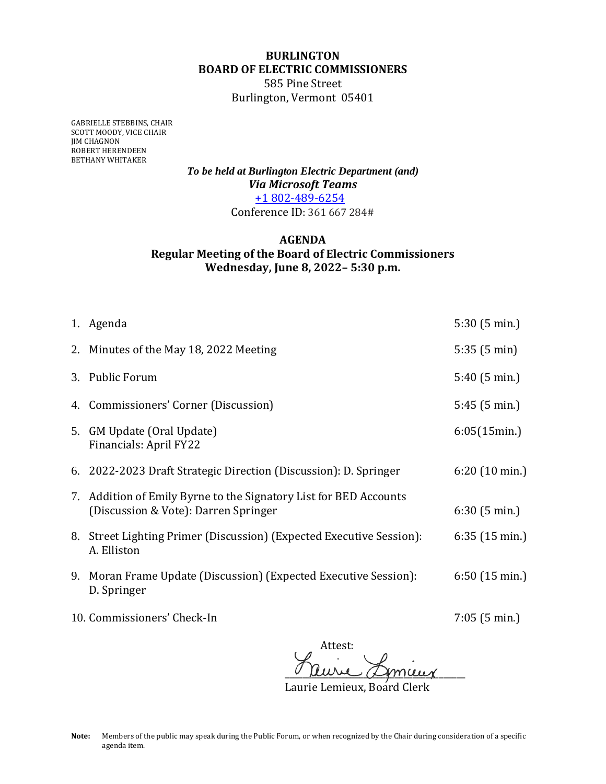## **BURLINGTON BOARD OF ELECTRIC COMMISSIONERS**

585 Pine Street Burlington, Vermont 05401

GABRIELLE STEBBINS, CHAIR SCOTT MOODY, VICE CHAIR JIM CHAGNON ROBERT HERENDEEN BETHANY WHITAKER

> *To be held at Burlington Electric Department (and) Via Microsoft Teams* +1 802-489-6254 Conference ID: 361 667 284#

## **AGENDA Regular Meeting of the Board of Electric Commissioners Wednesday, June 8, 2022– 5:30 p.m.**

|    | 1. Agenda                                                                                                 | 5:30(5 min.)            |
|----|-----------------------------------------------------------------------------------------------------------|-------------------------|
|    | 2. Minutes of the May 18, 2022 Meeting                                                                    | 5:35(5 min)             |
|    | 3. Public Forum                                                                                           | $5:40(5 \text{ min.})$  |
|    | 4. Commissioners' Corner (Discussion)                                                                     | 5:45(5 min.)            |
|    | 5. GM Update (Oral Update)<br>Financials: April FY22                                                      | 6:05(15min.)            |
|    | 6. 2022-2023 Draft Strategic Direction (Discussion): D. Springer                                          | $6:20(10 \text{ min.})$ |
|    | 7. Addition of Emily Byrne to the Signatory List for BED Accounts<br>(Discussion & Vote): Darren Springer | 6:30(5 min.)            |
|    | 8. Street Lighting Primer (Discussion) (Expected Executive Session):<br>A. Elliston                       | $6:35(15 \text{ min.})$ |
| 9. | Moran Frame Update (Discussion) (Expected Executive Session):<br>D. Springer                              | $6:50(15 \text{ min.})$ |
|    | 10. Commissioners' Check-In                                                                               | $7:05(5 \text{ min.})$  |

Attest:  $\sim$  anne agman

Laurie Lemieux, Board Clerk